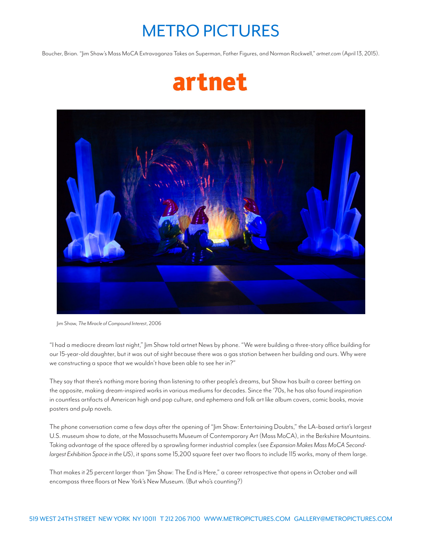## METRO PICTURES

Boucher, Brian. "Jim Shaw's Mass MoCA Extravaganza Takes on Superman, Father Figures, and Norman Rockwell," *artnet.com* (April 13, 2015).





Jim Shaw, *The Miracle of Compound Interest*, 2006

"I had a mediocre dream last night," Jim Shaw told artnet News by phone. "We were building a three-story office building for our 15-year-old daughter, but it was out of sight because there was a gas station between her building and ours. Why were we constructing a space that we wouldn't have been able to see her in?"

They say that there's nothing more boring than listening to other people's dreams, but Shaw has built a career betting on the opposite, making dream-inspired works in various mediums for decades. Since the '70s, he has also found inspiration in countless artifacts of American high and pop culture, and ephemera and folk art like album covers, comic books, movie posters and pulp novels.

The phone conversation came a few days after the opening of "Jim Shaw: Entertaining Doubts," the LA–based artist's largest U.S. museum show to date, at the Massachusetts Museum of Contemporary Art (Mass MoCA), in the Berkshire Mountains. Taking advantage of the space offered by a sprawling former industrial complex (see *Expansion Makes Mass MoCA Secondlargest Exhibition Space in the US*), it spans some 15,200 square feet over two floors to include 115 works, many of them large.

That makes it 25 percent larger than "Jim Shaw: The End is Here," a career retrospective that opens in October and will encompass three floors at New York's New Museum. (But who's counting?)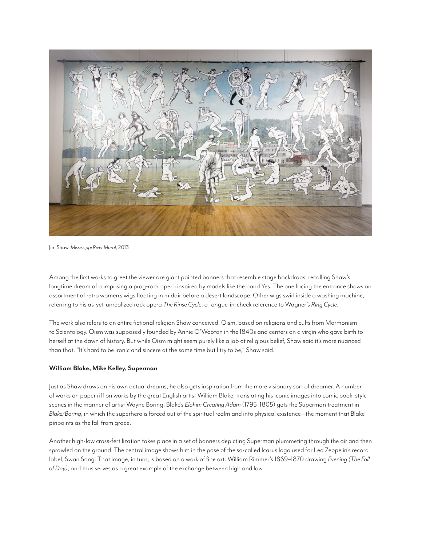

Jim Shaw, *Mississippi River Mural*, 2013

Among the first works to greet the viewer are giant painted banners that resemble stage backdrops, recalling Shaw's longtime dream of composing a prog-rock opera inspired by models like the band Yes. The one facing the entrance shows an assortment of retro women's wigs floating in midair before a desert landscape. Other wigs swirl inside a washing machine, referring to his as-yet-unrealized rock opera *The Rinse Cycle*, a tongue-in-cheek reference to Wagner's *Ring Cycle*.

The work also refers to an entire fictional religion Shaw conceived, Oism, based on religions and cults from Mormonism to Scientology. Oism was supposedly founded by Annie O'Wooton in the 1840s and centers on a virgin who gave birth to herself at the dawn of history. But while Oism might seem purely like a jab at religious belief, Shaw said it's more nuanced than that. "It's hard to be ironic and sincere at the same time but I try to be," Shaw said.

## **William Blake, Mike Kelley, Superman**

Just as Shaw draws on his own actual dreams, he also gets inspiration from the more visionary sort of dreamer. A number of works on paper riff on works by the great English artist William Blake, translating his iconic images into comic book–style scenes in the manner of artist Wayne Boring. Blake's *Elohim Creating Adam* (1795–1805) gets the Superman treatment in *Blake/Boring*, in which the superhero is forced out of the spiritual realm and into physical existence—the moment that Blake pinpoints as the fall from grace.

Another high-low cross-fertilization takes place in a set of banners depicting Superman plummeting through the air and then sprawled on the ground. The central image shows him in the pose of the so-called Icarus logo used for Led Zeppelin's record label, Swan Song. That image, in turn, is based on a work of fine art: William Rimmer's 1869–1870 drawing *Evening (The Fall of Day)*, and thus serves as a great example of the exchange between high and low.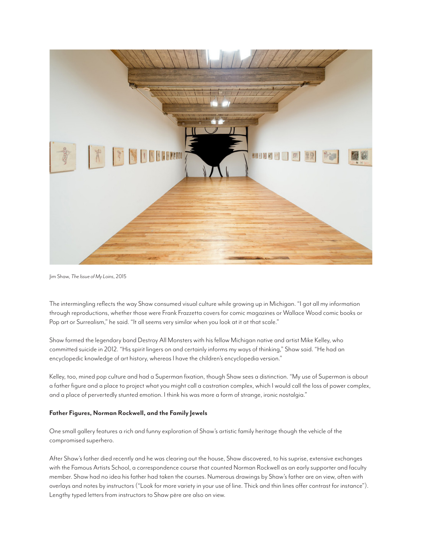

Jim Shaw, *The Issue of My Loins*, 2015

The intermingling reflects the way Shaw consumed visual culture while growing up in Michigan. "I got all my information through reproductions, whether those were Frank Frazzetta covers for comic magazines or Wallace Wood comic books or Pop art or Surrealism," he said. "It all seems very similar when you look at it at that scale."

Shaw formed the legendary band Destroy All Monsters with his fellow Michigan native and artist Mike Kelley, who committed suicide in 2012. "His spirit lingers on and certainly informs my ways of thinking," Shaw said. "He had an encyclopedic knowledge of art history, whereas I have the children's encyclopedia version."

Kelley, too, mined pop culture and had a Superman fixation, though Shaw sees a distinction. "My use of Superman is about a father figure and a place to project what you might call a castration complex, which I would call the loss of power complex, and a place of pervertedly stunted emotion. I think his was more a form of strange, ironic nostalgia."

## **Father Figures, Norman Rockwell, and the Family Jewels**

One small gallery features a rich and funny exploration of Shaw's artistic family heritage though the vehicle of the compromised superhero.

After Shaw's father died recently and he was clearing out the house, Shaw discovered, to his suprise, extensive exchanges with the Famous Artists School, a correspondence course that counted Norman Rockwell as an early supporter and faculty member. Shaw had no idea his father had taken the courses. Numerous drawings by Shaw's father are on view, often with overlays and notes by instructors ("Look for more variety in your use of line. Thick and thin lines offer contrast for instance"). Lengthy typed letters from instructors to Shaw père are also on view.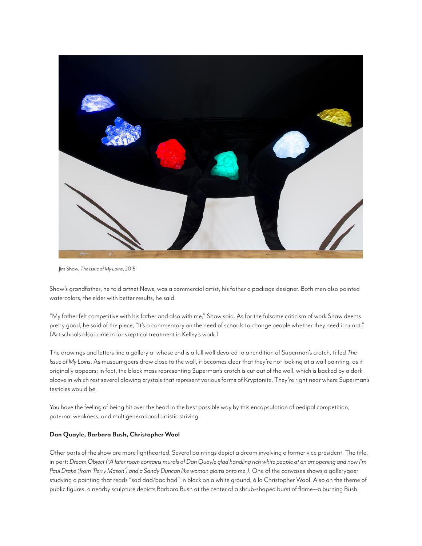

Jim Shaw, *The Issue of My Loins*, 2015

Shaw's grandfather, he told artnet News, was a commercial artist, his father a package designer. Both men also painted watercolors, the elder with better results, he said.

"My father felt competitive with his father and also with me," Shaw said. As for the fulsome criticism of work Shaw deems pretty good, he said of the piece, "It's a commentary on the need of schools to change people whether they need it or not." (Art schools also came in for skeptical treatment in Kelley's work.)

The drawings and letters line a gallery at whose end is a full wall devoted to a rendition of Superman's crotch, titled *The Issue of My Loins*. As museumgoers draw close to the wall, it becomes clear that they're not looking at a wall painting, as it originally appears; in fact, the black mass representing Superman's crotch is cut out of the wall, which is backed by a dark alcove in which rest several glowing crystals that represent various forms of Kryptonite. They're right near where Superman's testicles would be.

You have the feeling of being hit over the head in the best possible way by this encapsulation of oedipal competition, paternal weakness, and multigenerational artistic striving.

## **Dan Quayle, Barbara Bush, Christopher Wool**

Other parts of the show are more lighthearted. Several paintings depict a dream involving a former vice president. The title, in part: *Dream Object ("A later room contains murals of Dan Quayle glad handling rich white people at an art opening and now I'm Paul Drake (from 'Perry Mason') and a Sandy Duncan like woman gloms onto me.).* One of the canvases shows a gallerygoer studying a painting that reads "sad dad/bad had" in black on a white ground, à la Christopher Wool. Also on the theme of public figures, a nearby sculpture depicts Barbara Bush at the center of a shrub-shaped burst of flame—a burning Bush.